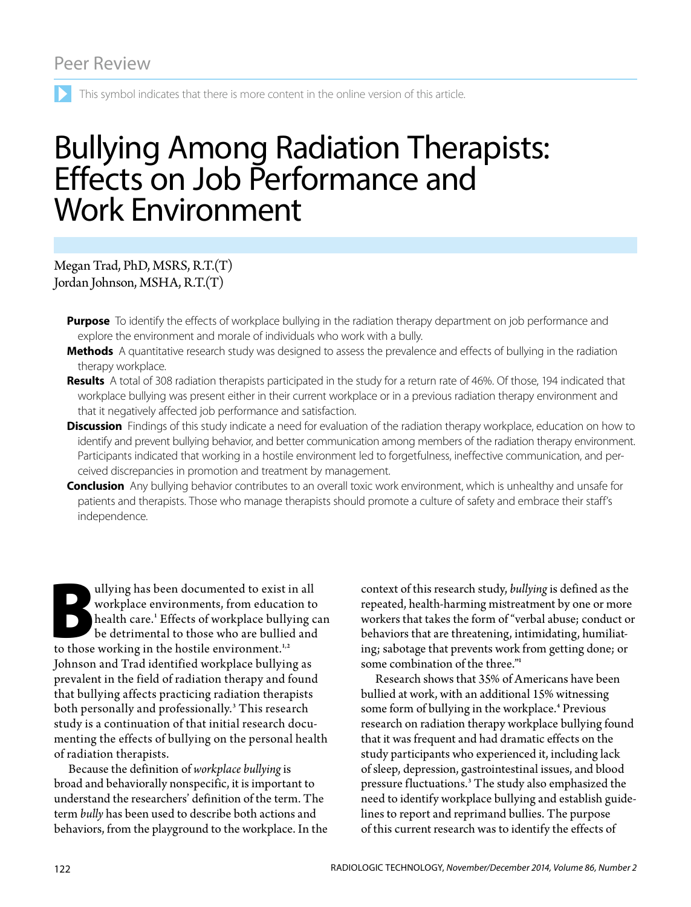This symbol indicates that there is more content in the online version of this article.

# Bullying Among Radiation Therapists: Effects on Job Performance and Work Environment

Megan Trad, PhD, MSRS, R.T.(T) Jordan Johnson, MSHA, R.T.(T)

- **Purpose** To identify the effects of workplace bullying in the radiation therapy department on job performance and explore the environment and morale of individuals who work with a bully.
- **Methods** A quantitative research study was designed to assess the prevalence and effects of bullying in the radiation therapy workplace.
- **Results** A total of 308 radiation therapists participated in the study for a return rate of 46%. Of those, 194 indicated that workplace bullying was present either in their current workplace or in a previous radiation therapy environment and that it negatively affected job performance and satisfaction.
- **Discussion** Findings of this study indicate a need for evaluation of the radiation therapy workplace, education on how to identify and prevent bullying behavior, and better communication among members of the radiation therapy environment. Participants indicated that working in a hostile environment led to forgetfulness, ineffective communication, and perceived discrepancies in promotion and treatment by management.

**Conclusion** Any bullying behavior contributes to an overall toxic work environment, which is unhealthy and unsafe for patients and therapists. Those who manage therapists should promote a culture of safety and embrace their staff's independence.

allying has been documented to exist in all<br>workplace environments, from education to<br>health care.<sup>1</sup> Effects of workplace bullying c<br>be detrimental to those who are bullied and<br>to those working in the hostile environment. workplace environments, from education to health care.<sup>1</sup> Effects of workplace bullying can be detrimental to those who are bullied and to those working in the hostile environment.<sup>1,2</sup> Johnson and Trad identified workplace bullying as prevalent in the field of radiation therapy and found that bullying affects practicing radiation therapists both personally and professionally.<sup>3</sup> This research study is a continuation of that initial research documenting the effects of bullying on the personal health of radiation therapists.

Because the definition of *workplace bullying* is broad and behaviorally nonspecific, it is important to understand the researchers' definition of the term. The term *bully* has been used to describe both actions and behaviors, from the playground to the workplace. In the context of this research study, *bullying* is defined as the repeated, health-harming mistreatment by one or more workers that takes the form of "verbal abuse; conduct or behaviors that are threatening, intimidating, humiliating; sabotage that prevents work from getting done; or some combination of the three."<sup>1</sup>

Research shows that 35% of Americans have been bullied at work, with an additional 15% witnessing some form of bullying in the workplace.<sup>4</sup> Previous research on radiation therapy workplace bullying found that it was frequent and had dramatic effects on the study participants who experienced it, including lack of sleep, depression, gastrointestinal issues, and blood pressure fluctuations.<sup>3</sup> The study also emphasized the need to identify workplace bullying and establish guidelines to report and reprimand bullies. The purpose of this current research was to identify the effects of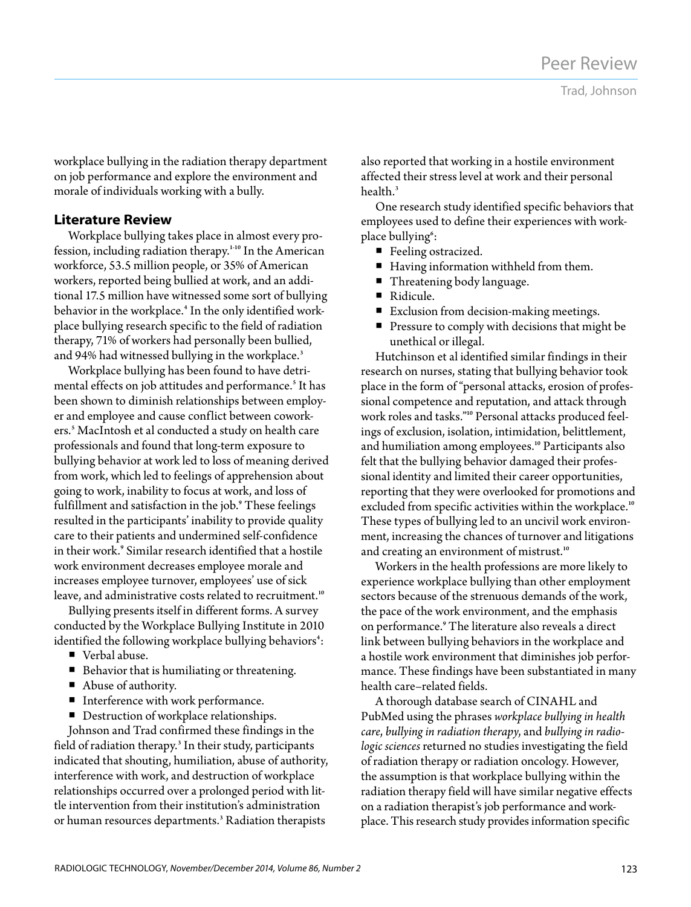workplace bullying in the radiation therapy department on job performance and explore the environment and morale of individuals working with a bully.

### **Literature Review**

Workplace bullying takes place in almost every profession, including radiation therapy.<sup>1-10</sup> In the American workforce, 53.5 million people, or 35% of American workers, reported being bullied at work, and an additional 17.5 million have witnessed some sort of bullying behavior in the workplace.<sup>4</sup> In the only identified workplace bullying research specific to the field of radiation therapy, 71% of workers had personally been bullied, and 94% had witnessed bullying in the workplace.<sup>3</sup>

Workplace bullying has been found to have detrimental effects on job attitudes and performance.<sup>5</sup> It has been shown to diminish relationships between employer and employee and cause conflict between coworkers.<sup>5</sup> MacIntosh et al conducted a study on health care professionals and found that long-term exposure to bullying behavior at work led to loss of meaning derived from work, which led to feelings of apprehension about going to work, inability to focus at work, and loss of fulfillment and satisfaction in the job.<sup>9</sup> These feelings resulted in the participants' inability to provide quality care to their patients and undermined self-confidence in their work.<sup>9</sup> Similar research identified that a hostile work environment decreases employee morale and increases employee turnover, employees' use of sick leave, and administrative costs related to recruitment.<sup>10</sup>

Bullying presents itself in different forms. A survey conducted by the Workplace Bullying Institute in 2010 identified the following workplace bullying behaviors $^\text{*}\!\! :$ 

- Verbal abuse.
- **Behavior that is humiliating or threatening.**
- Abuse of authority.
- **Interference with work performance.**
- Destruction of workplace relationships.

Johnson and Trad confirmed these findings in the field of radiation therapy.<sup>3</sup> In their study, participants indicated that shouting, humiliation, abuse of authority, interference with work, and destruction of workplace relationships occurred over a prolonged period with little intervention from their institution's administration or human resources departments.<sup>3</sup> Radiation therapists

also reported that working in a hostile environment affected their stress level at work and their personal health. $3$ 

One research study identified specific behaviors that employees used to define their experiences with workplace bullying<sup>6</sup>:

- Feeling ostracized.
- Having information withheld from them.
- Threatening body language.
- Ridicule.
- Exclusion from decision-making meetings.
- Pressure to comply with decisions that might be unethical or illegal.

Hutchinson et al identified similar findings in their research on nurses, stating that bullying behavior took place in the form of "personal attacks, erosion of professional competence and reputation, and attack through work roles and tasks."10 Personal attacks produced feelings of exclusion, isolation, intimidation, belittlement, and humiliation among employees.<sup>10</sup> Participants also felt that the bullying behavior damaged their professional identity and limited their career opportunities, reporting that they were overlooked for promotions and excluded from specific activities within the workplace.<sup>10</sup> These types of bullying led to an uncivil work environment, increasing the chances of turnover and litigations and creating an environment of mistrust.<sup>10</sup>

Workers in the health professions are more likely to experience workplace bullying than other employment sectors because of the strenuous demands of the work, the pace of the work environment, and the emphasis on performance.<sup>9</sup> The literature also reveals a direct link between bullying behaviors in the workplace and a hostile work environment that diminishes job performance. These findings have been substantiated in many health care–related fields.

A thorough database search of CINAHL and PubMed using the phrases *workplace bullying in health care*, *bullying in radiation therapy*, and *bullying in radiologic sciences* returned no studies investigating the field of radiation therapy or radiation oncology. However, the assumption is that workplace bullying within the radiation therapy field will have similar negative effects on a radiation therapist's job performance and workplace. This research study provides information specific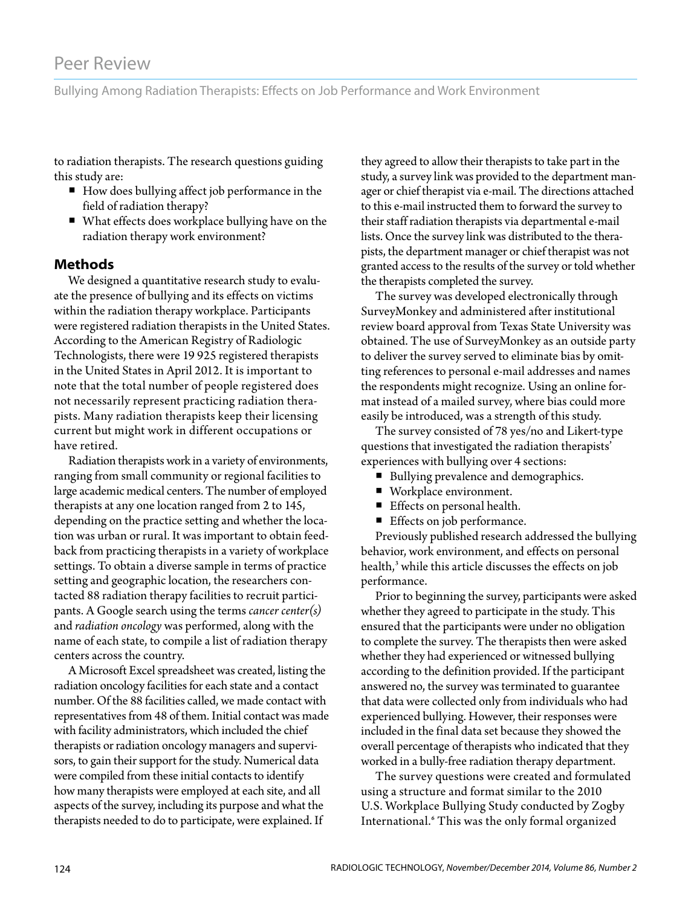Bullying Among Radiation Therapists: Effects on Job Performance and Work Environment

to radiation therapists. The research questions guiding this study are:

- How does bullying affect job performance in the field of radiation therapy?
- What effects does workplace bullying have on the radiation therapy work environment?

#### **Methods**

We designed a quantitative research study to evaluate the presence of bullying and its effects on victims within the radiation therapy workplace. Participants were registered radiation therapists in the United States. According to the American Registry of Radiologic Technologists, there were 19 925 registered therapists in the United States in April 2012. It is important to note that the total number of people registered does not necessarily represent practicing radiation therapists. Many radiation therapists keep their licensing current but might work in different occupations or have retired.

Radiation therapists work in a variety of environments, ranging from small community or regional facilities to large academic medical centers. The number of employed therapists at any one location ranged from 2 to 145, depending on the practice setting and whether the location was urban or rural. It was important to obtain feedback from practicing therapists in a variety of workplace settings. To obtain a diverse sample in terms of practice setting and geographic location, the researchers contacted 88 radiation therapy facilities to recruit participants. A Google search using the terms *cancer center(s)* and *radiation oncology* was performed, along with the name of each state, to compile a list of radiation therapy centers across the country.

A Microsoft Excel spreadsheet was created, listing the radiation oncology facilities for each state and a contact number. Of the 88 facilities called, we made contact with representatives from 48 of them. Initial contact was made with facility administrators, which included the chief therapists or radiation oncology managers and supervisors, to gain their support for the study. Numerical data were compiled from these initial contacts to identify how many therapists were employed at each site, and all aspects of the survey, including its purpose and what the therapists needed to do to participate, were explained. If

they agreed to allow their therapists to take part in the study, a survey link was provided to the department manager or chief therapist via e-mail. The directions attached to this e-mail instructed them to forward the survey to their staff radiation therapists via departmental e-mail lists. Once the survey link was distributed to the therapists, the department manager or chief therapist was not granted access to the results of the survey or told whether the therapists completed the survey.

The survey was developed electronically through SurveyMonkey and administered after institutional review board approval from Texas State University was obtained. The use of SurveyMonkey as an outside party to deliver the survey served to eliminate bias by omitting references to personal e-mail addresses and names the respondents might recognize. Using an online format instead of a mailed survey, where bias could more easily be introduced, was a strength of this study.

The survey consisted of 78 yes/no and Likert-type questions that investigated the radiation therapists' experiences with bullying over 4 sections:

- Bullying prevalence and demographics.
- Workplace environment.
- Effects on personal health.
- Effects on job performance.

Previously published research addressed the bullying behavior, work environment, and effects on personal health,<sup>3</sup> while this article discusses the effects on job performance.

Prior to beginning the survey, participants were asked whether they agreed to participate in the study. This ensured that the participants were under no obligation to complete the survey. The therapists then were asked whether they had experienced or witnessed bullying according to the definition provided. If the participant answered no, the survey was terminated to guarantee that data were collected only from individuals who had experienced bullying. However, their responses were included in the final data set because they showed the overall percentage of therapists who indicated that they worked in a bully-free radiation therapy department.

The survey questions were created and formulated using a structure and format similar to the 2010 U.S. Workplace Bullying Study conducted by Zogby International.<sup>6</sup> This was the only formal organized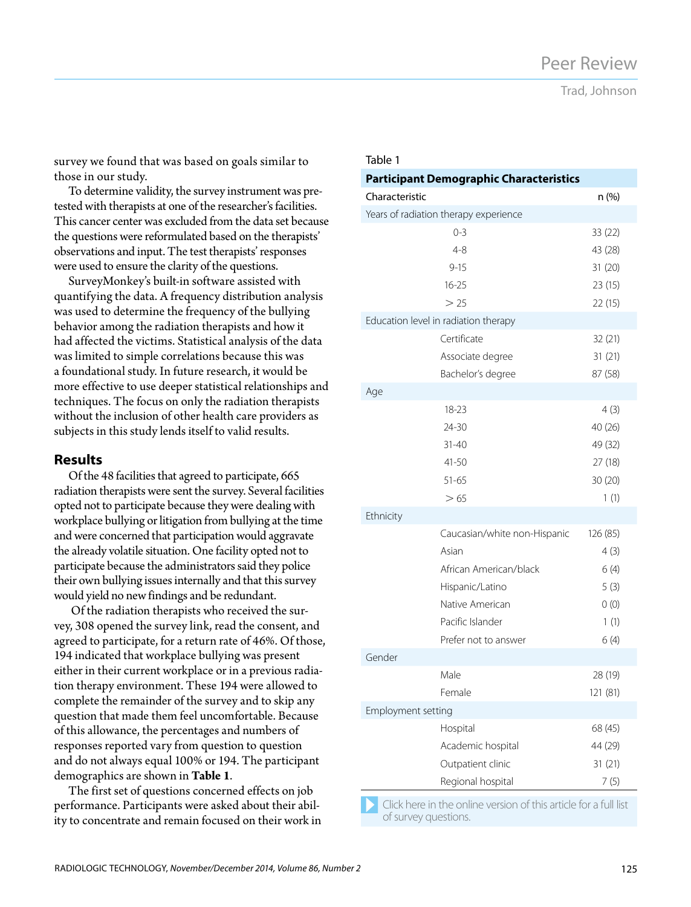Trad, Johnson

survey we found that was based on goals similar to those in our study.

To determine validity, the survey instrument was pretested with therapists at one of the researcher's facilities. This cancer center was excluded from the data set because the questions were reformulated based on the therapists' observations and input. The test therapists' responses were used to ensure the clarity of the questions.

SurveyMonkey's built-in software assisted with quantifying the data. A frequency distribution analysis was used to determine the frequency of the bullying behavior among the radiation therapists and how it had affected the victims. Statistical analysis of the data was limited to simple correlations because this was a foundational study. In future research, it would be more effective to use deeper statistical relationships and techniques. The focus on only the radiation therapists without the inclusion of other health care providers as subjects in this study lends itself to valid results.

#### **Results**

Of the 48 facilities that agreed to participate, 665 radiation therapists were sent the survey. Several facilities opted not to participate because they were dealing with workplace bullying or litigation from bullying at the time and were concerned that participation would aggravate the already volatile situation. One facility opted not to participate because the administrators said they police their own bullying issues internally and that this survey would yield no new findings and be redundant.

 Of the radiation therapists who received the survey, 308 opened the survey link, read the consent, and agreed to participate, for a return rate of 46%. Of those, 194 indicated that workplace bullying was present either in their current workplace or in a previous radiation therapy environment. These 194 were allowed to complete the remainder of the survey and to skip any question that made them feel uncomfortable. Because of this allowance, the percentages and numbers of responses reported vary from question to question and do not always equal 100% or 194. The participant demographics are shown in **Table 1**.

The first set of questions concerned effects on job performance. Participants were asked about their ability to concentrate and remain focused on their work in

| iavie i                              |                                                |          |  |  |
|--------------------------------------|------------------------------------------------|----------|--|--|
|                                      | <b>Participant Demographic Characteristics</b> |          |  |  |
| Characteristic                       |                                                | n (%)    |  |  |
|                                      | Years of radiation therapy experience          |          |  |  |
|                                      | $0 - 3$                                        | 33 (22)  |  |  |
|                                      | $4 - 8$                                        | 43 (28)  |  |  |
|                                      | $9 - 15$                                       | 31 (20)  |  |  |
|                                      | $16 - 25$                                      | 23 (15)  |  |  |
|                                      | > 25                                           | 22 (15)  |  |  |
| Education level in radiation therapy |                                                |          |  |  |
|                                      | Certificate                                    | 32 (21)  |  |  |
|                                      | Associate degree                               | 31(21)   |  |  |
|                                      | Bachelor's degree                              | 87 (58)  |  |  |
| Age                                  |                                                |          |  |  |
|                                      | 18-23                                          | 4(3)     |  |  |
|                                      | 24-30                                          | 40 (26)  |  |  |
|                                      | $31 - 40$                                      | 49 (32)  |  |  |
|                                      | 41-50                                          | 27 (18)  |  |  |
|                                      | $51 - 65$                                      | 30 (20)  |  |  |
|                                      | >65                                            | 1(1)     |  |  |
| Ethnicity                            |                                                |          |  |  |
|                                      | Caucasian/white non-Hispanic                   | 126 (85) |  |  |
|                                      | Asian                                          | 4(3)     |  |  |
|                                      | African American/black                         | 6(4)     |  |  |
|                                      | Hispanic/Latino                                | 5(3)     |  |  |
|                                      | Native American                                | 0(0)     |  |  |
|                                      | Pacific Islander                               | 1(1)     |  |  |
|                                      | Prefer not to answer                           | 6(4)     |  |  |
| Gender                               |                                                |          |  |  |
|                                      | Male                                           | 28 (19)  |  |  |
|                                      | Female                                         | 121 (81) |  |  |
| Employment setting                   |                                                |          |  |  |
|                                      | Hospital                                       | 68 (45)  |  |  |
|                                      | Academic hospital                              | 44 (29)  |  |  |
|                                      | Outpatient clinic                              | 31 (21)  |  |  |
|                                      | Regional hospital                              | 7(5)     |  |  |
|                                      |                                                |          |  |  |

Table 1

Click here in the online version of this article for a full list of survey questions.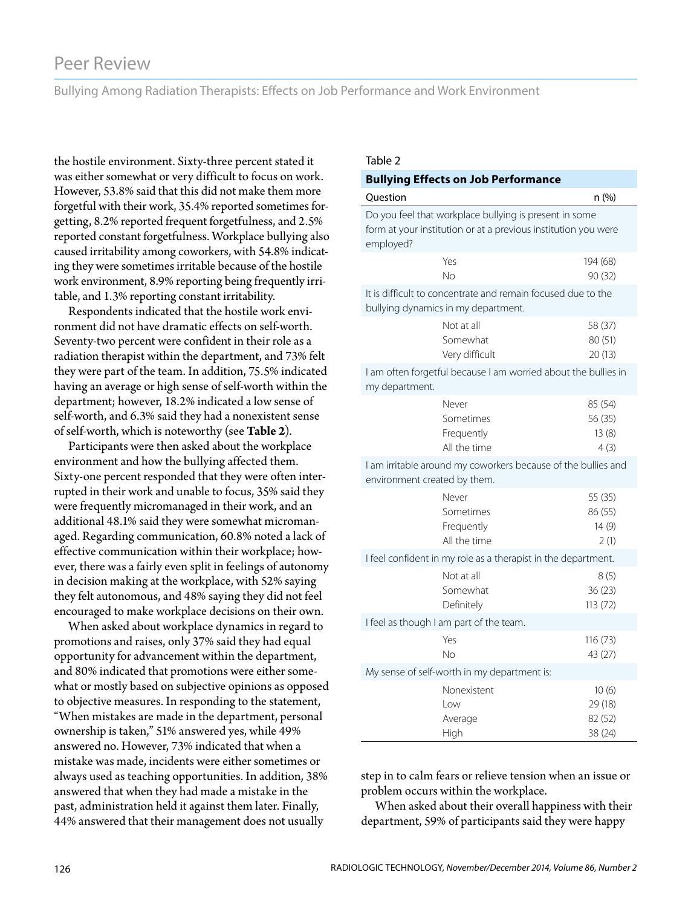Bullying Among Radiation Therapists: Effects on Job Performance and Work Environment

the hostile environment. Sixty-three percent stated it was either somewhat or very difficult to focus on work. However, 53.8% said that this did not make them more forgetful with their work, 35.4% reported sometimes forgetting, 8.2% reported frequent forgetfulness, and 2.5% reported constant forgetfulness. Workplace bullying also caused irritability among coworkers, with 54.8% indicating they were sometimes irritable because of the hostile work environment, 8.9% reporting being frequently irritable, and 1.3% reporting constant irritability.

Respondents indicated that the hostile work environment did not have dramatic effects on self-worth. Seventy-two percent were confident in their role as a radiation therapist within the department, and 73% felt they were part of the team. In addition, 75.5% indicated having an average or high sense of self-worth within the department; however, 18.2% indicated a low sense of self-worth, and 6.3% said they had a nonexistent sense of self-worth, which is noteworthy (see **Table 2**).

Participants were then asked about the workplace environment and how the bullying affected them. Sixty-one percent responded that they were often interrupted in their work and unable to focus, 35% said they were frequently micromanaged in their work, and an additional 48.1% said they were somewhat micromanaged. Regarding communication, 60.8% noted a lack of effective communication within their workplace; however, there was a fairly even split in feelings of autonomy in decision making at the workplace, with 52% saying they felt autonomous, and 48% saying they did not feel encouraged to make workplace decisions on their own.

When asked about workplace dynamics in regard to promotions and raises, only 37% said they had equal opportunity for advancement within the department, and 80% indicated that promotions were either somewhat or mostly based on subjective opinions as opposed to objective measures. In responding to the statement, "When mistakes are made in the department, personal ownership is taken," 51% answered yes, while 49% answered no. However, 73% indicated that when a mistake was made, incidents were either sometimes or always used as teaching opportunities. In addition, 38% answered that when they had made a mistake in the past, administration held it against them later. Finally, 44% answered that their management does not usually

#### Table 2

#### **Bullying Effects on Job Performance** Question **n** (%) Do you feel that workplace bullying is present in some form at your institution or at a previous institution you were employed? Yes No 194 (68) 90 (32) It is difficult to concentrate and remain focused due to the bullying dynamics in my department. Not at all Somewhat Very difficult 58 (37) 80 (51) 20 (13) I am often forgetful because I am worried about the bullies in my department. Never Sometimes Frequently All the time 85 (54) 56 (35) 13 (8) 4 (3) I am irritable around my coworkers because of the bullies and environment created by them. Never Sometimes Frequently All the time 55 (35) 86 (55) 14 (9) 2 (1) I feel confident in my role as a therapist in the department. Not at all Somewhat Definitely 8 (5) 36 (23) 113 (72) I feel as though I am part of the team. Yes No 116 (73) 43 (27) My sense of self-worth in my department is: Nonexistent Low Average High 10 (6) 29 (18) 82 (52) 38 (24)

step in to calm fears or relieve tension when an issue or problem occurs within the workplace.

When asked about their overall happiness with their department, 59% of participants said they were happy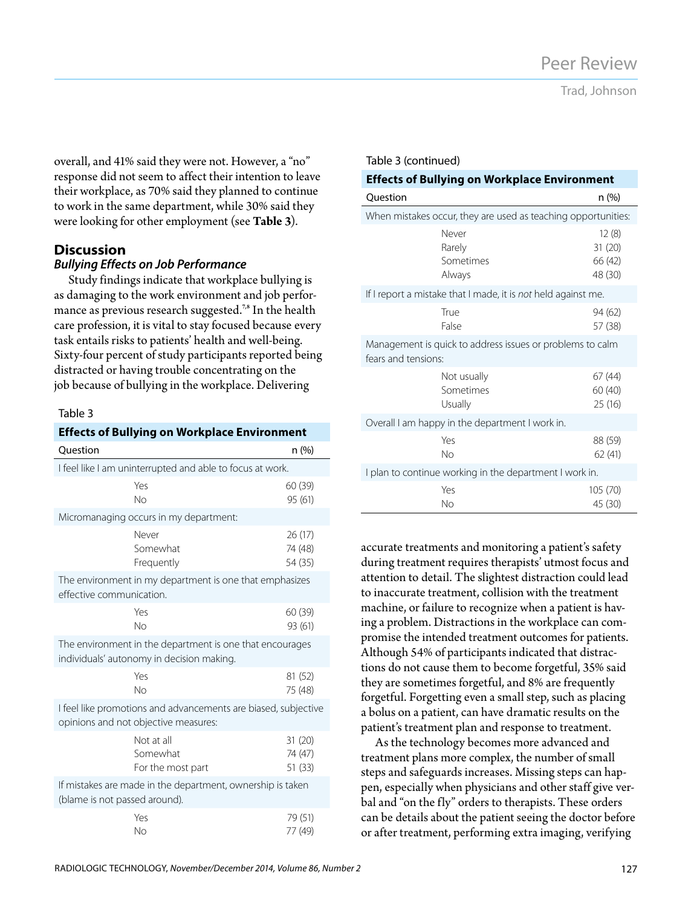Trad, Johnson

overall, and 41% said they were not. However, a "no" response did not seem to affect their intention to leave their workplace, as 70% said they planned to continue to work in the same department, while 30% said they were looking for other employment (see **Table 3**).

#### **Discussion**

#### *Bullying Effects on Job Performance*

Study findings indicate that workplace bullying is as damaging to the work environment and job performance as previous research suggested.<sup>7,8</sup> In the health care profession, it is vital to stay focused because every task entails risks to patients' health and well-being. Sixty-four percent of study participants reported being distracted or having trouble concentrating on the job because of bullying in the workplace. Delivering

#### Table 3

| <b>Effects of Bullying on Workplace Environment</b>                                                    |                                             |                               |  |  |
|--------------------------------------------------------------------------------------------------------|---------------------------------------------|-------------------------------|--|--|
| Ouestion                                                                                               |                                             | n (%)                         |  |  |
| I feel like I am uninterrupted and able to focus at work.                                              |                                             |                               |  |  |
|                                                                                                        | Yes<br><b>No</b>                            | 60 (39)<br>95 (61)            |  |  |
| Micromanaging occurs in my department:                                                                 |                                             |                               |  |  |
|                                                                                                        | Never<br>Somewhat<br>Frequently             | 26 (17)<br>74 (48)<br>54 (35) |  |  |
| The environment in my department is one that emphasizes<br>effective communication.                    |                                             |                               |  |  |
|                                                                                                        | Yes<br>No                                   | 60 (39)<br>93 (61)            |  |  |
| The environment in the department is one that encourages<br>individuals' autonomy in decision making.  |                                             |                               |  |  |
|                                                                                                        | Yes<br><b>No</b>                            | 81 (52)<br>75 (48)            |  |  |
| I feel like promotions and advancements are biased, subjective<br>opinions and not objective measures: |                                             |                               |  |  |
|                                                                                                        | Not at all<br>Somewhat<br>For the most part | 31 (20)<br>74 (47)<br>51 (33) |  |  |
| If mistakes are made in the department, ownership is taken<br>(blame is not passed around).            |                                             |                               |  |  |
|                                                                                                        | Yes<br>No                                   | 79 (51)<br>77 (49)            |  |  |

| <b>Effects of Bullying on Workplace Environment</b>                              |                                        |                                       |  |  |
|----------------------------------------------------------------------------------|----------------------------------------|---------------------------------------|--|--|
| Question                                                                         |                                        | n (%)                                 |  |  |
| When mistakes occur, they are used as teaching opportunities:                    |                                        |                                       |  |  |
|                                                                                  | Never<br>Rarely<br>Sometimes<br>Always | 12(8)<br>31(20)<br>66 (42)<br>48 (30) |  |  |
| If I report a mistake that I made, it is not held against me.                    |                                        |                                       |  |  |
|                                                                                  | True<br>False                          | 94 (62)<br>57 (38)                    |  |  |
| Management is quick to address issues or problems to calm<br>fears and tensions: |                                        |                                       |  |  |
|                                                                                  | Not usually<br>Sometimes<br>Usually    | 67 (44)<br>60 (40)<br>25 (16)         |  |  |
| Overall I am happy in the department I work in.                                  |                                        |                                       |  |  |
|                                                                                  | Yes<br>No                              | 88 (59)<br>62 (41)                    |  |  |
| I plan to continue working in the department I work in.                          |                                        |                                       |  |  |
|                                                                                  | Yes<br>No                              | 105 (70)<br>45 (30)                   |  |  |

Table 3 (continued)

accurate treatments and monitoring a patient's safety during treatment requires therapists' utmost focus and attention to detail. The slightest distraction could lead to inaccurate treatment, collision with the treatment machine, or failure to recognize when a patient is having a problem. Distractions in the workplace can compromise the intended treatment outcomes for patients. Although 54% of participants indicated that distractions do not cause them to become forgetful, 35% said they are sometimes forgetful, and 8% are frequently forgetful. Forgetting even a small step, such as placing a bolus on a patient, can have dramatic results on the patient's treatment plan and response to treatment.

As the technology becomes more advanced and treatment plans more complex, the number of small steps and safeguards increases. Missing steps can happen, especially when physicians and other staff give verbal and "on the fly" orders to therapists. These orders can be details about the patient seeing the doctor before or after treatment, performing extra imaging, verifying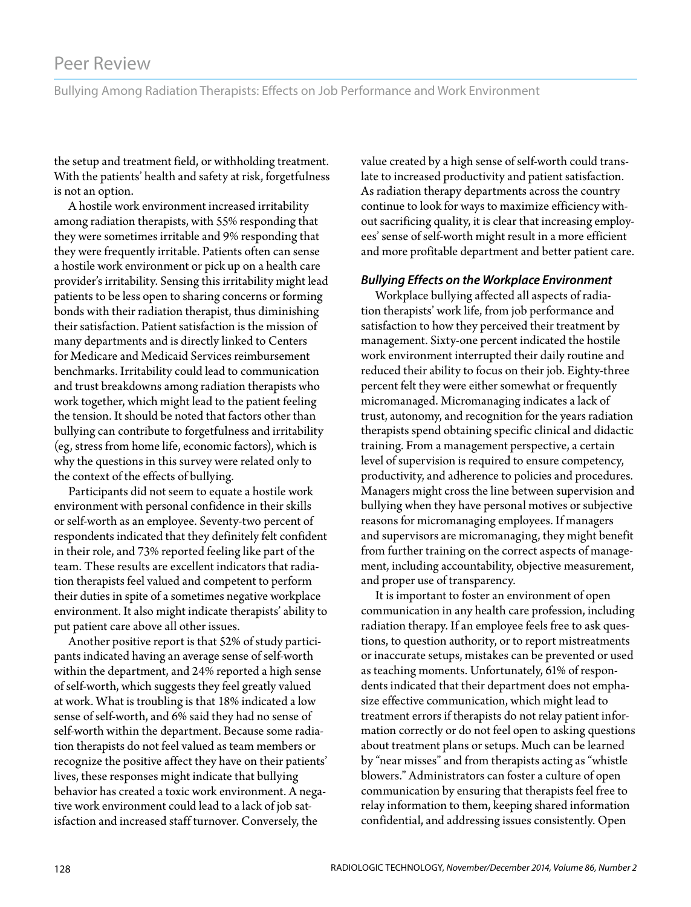Bullying Among Radiation Therapists: Effects on Job Performance and Work Environment

the setup and treatment field, or withholding treatment. With the patients' health and safety at risk, forgetfulness is not an option.

A hostile work environment increased irritability among radiation therapists, with 55% responding that they were sometimes irritable and 9% responding that they were frequently irritable. Patients often can sense a hostile work environment or pick up on a health care provider's irritability. Sensing this irritability might lead patients to be less open to sharing concerns or forming bonds with their radiation therapist, thus diminishing their satisfaction. Patient satisfaction is the mission of many departments and is directly linked to Centers for Medicare and Medicaid Services reimbursement benchmarks. Irritability could lead to communication and trust breakdowns among radiation therapists who work together, which might lead to the patient feeling the tension. It should be noted that factors other than bullying can contribute to forgetfulness and irritability (eg, stress from home life, economic factors), which is why the questions in this survey were related only to the context of the effects of bullying.

Participants did not seem to equate a hostile work environment with personal confidence in their skills or self-worth as an employee. Seventy-two percent of respondents indicated that they definitely felt confident in their role, and 73% reported feeling like part of the team. These results are excellent indicators that radiation therapists feel valued and competent to perform their duties in spite of a sometimes negative workplace environment. It also might indicate therapists' ability to put patient care above all other issues.

Another positive report is that 52% of study participants indicated having an average sense of self-worth within the department, and 24% reported a high sense of self-worth, which suggests they feel greatly valued at work. What is troubling is that 18% indicated a low sense of self-worth, and 6% said they had no sense of self-worth within the department. Because some radiation therapists do not feel valued as team members or recognize the positive affect they have on their patients' lives, these responses might indicate that bullying behavior has created a toxic work environment. A negative work environment could lead to a lack of job satisfaction and increased staff turnover. Conversely, the

value created by a high sense of self-worth could translate to increased productivity and patient satisfaction. As radiation therapy departments across the country continue to look for ways to maximize efficiency without sacrificing quality, it is clear that increasing employees' sense of self-worth might result in a more efficient and more profitable department and better patient care.

#### *Bullying Effects on the Workplace Environment*

Workplace bullying affected all aspects of radiation therapists' work life, from job performance and satisfaction to how they perceived their treatment by management. Sixty-one percent indicated the hostile work environment interrupted their daily routine and reduced their ability to focus on their job. Eighty-three percent felt they were either somewhat or frequently micromanaged. Micromanaging indicates a lack of trust, autonomy, and recognition for the years radiation therapists spend obtaining specific clinical and didactic training. From a management perspective, a certain level of supervision is required to ensure competency, productivity, and adherence to policies and procedures. Managers might cross the line between supervision and bullying when they have personal motives or subjective reasons for micromanaging employees. If managers and supervisors are micromanaging, they might benefit from further training on the correct aspects of management, including accountability, objective measurement, and proper use of transparency.

It is important to foster an environment of open communication in any health care profession, including radiation therapy. If an employee feels free to ask questions, to question authority, or to report mistreatments or inaccurate setups, mistakes can be prevented or used as teaching moments. Unfortunately, 61% of respondents indicated that their department does not emphasize effective communication, which might lead to treatment errors if therapists do not relay patient information correctly or do not feel open to asking questions about treatment plans or setups. Much can be learned by "near misses" and from therapists acting as "whistle blowers." Administrators can foster a culture of open communication by ensuring that therapists feel free to relay information to them, keeping shared information confidential, and addressing issues consistently. Open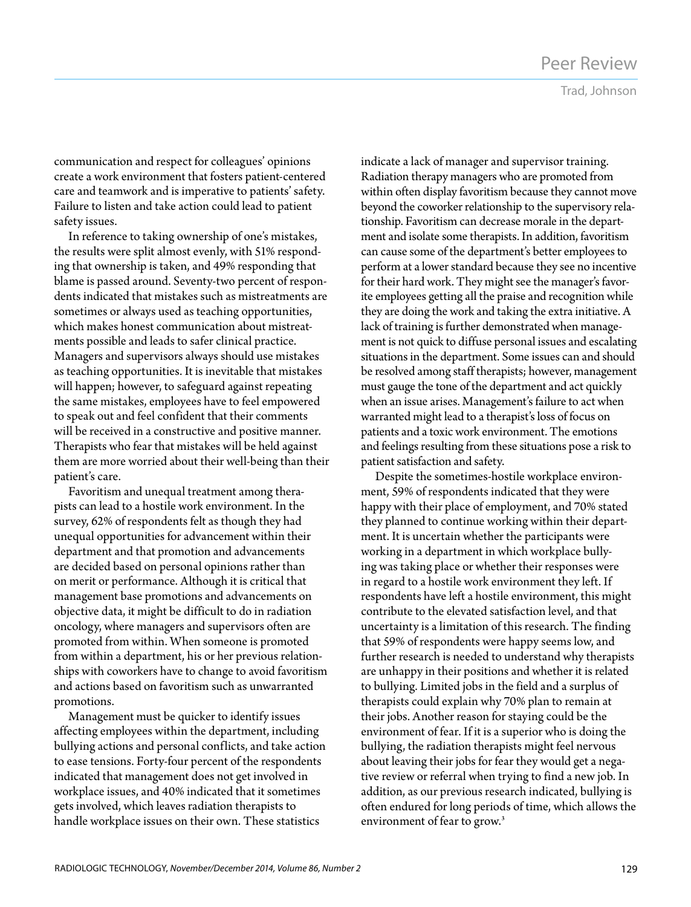Trad, Johnson

communication and respect for colleagues' opinions create a work environment that fosters patient-centered care and teamwork and is imperative to patients' safety. Failure to listen and take action could lead to patient safety issues.

In reference to taking ownership of one's mistakes, the results were split almost evenly, with 51% responding that ownership is taken, and 49% responding that blame is passed around. Seventy-two percent of respondents indicated that mistakes such as mistreatments are sometimes or always used as teaching opportunities, which makes honest communication about mistreatments possible and leads to safer clinical practice. Managers and supervisors always should use mistakes as teaching opportunities. It is inevitable that mistakes will happen; however, to safeguard against repeating the same mistakes, employees have to feel empowered to speak out and feel confident that their comments will be received in a constructive and positive manner. Therapists who fear that mistakes will be held against them are more worried about their well-being than their patient's care.

Favoritism and unequal treatment among therapists can lead to a hostile work environment. In the survey, 62% of respondents felt as though they had unequal opportunities for advancement within their department and that promotion and advancements are decided based on personal opinions rather than on merit or performance. Although it is critical that management base promotions and advancements on objective data, it might be difficult to do in radiation oncology, where managers and supervisors often are promoted from within. When someone is promoted from within a department, his or her previous relationships with coworkers have to change to avoid favoritism and actions based on favoritism such as unwarranted promotions.

Management must be quicker to identify issues affecting employees within the department, including bullying actions and personal conflicts, and take action to ease tensions. Forty-four percent of the respondents indicated that management does not get involved in workplace issues, and 40% indicated that it sometimes gets involved, which leaves radiation therapists to handle workplace issues on their own. These statistics

indicate a lack of manager and supervisor training. Radiation therapy managers who are promoted from within often display favoritism because they cannot move beyond the coworker relationship to the supervisory relationship. Favoritism can decrease morale in the department and isolate some therapists. In addition, favoritism can cause some of the department's better employees to perform at a lower standard because they see no incentive for their hard work. They might see the manager's favorite employees getting all the praise and recognition while they are doing the work and taking the extra initiative. A lack of training is further demonstrated when management is not quick to diffuse personal issues and escalating situations in the department. Some issues can and should be resolved among staff therapists; however, management must gauge the tone of the department and act quickly when an issue arises. Management's failure to act when warranted might lead to a therapist's loss of focus on patients and a toxic work environment. The emotions and feelings resulting from these situations pose a risk to patient satisfaction and safety.

Despite the sometimes-hostile workplace environment, 59% of respondents indicated that they were happy with their place of employment, and 70% stated they planned to continue working within their department. It is uncertain whether the participants were working in a department in which workplace bullying was taking place or whether their responses were in regard to a hostile work environment they left. If respondents have left a hostile environment, this might contribute to the elevated satisfaction level, and that uncertainty is a limitation of this research. The finding that 59% of respondents were happy seems low, and further research is needed to understand why therapists are unhappy in their positions and whether it is related to bullying. Limited jobs in the field and a surplus of therapists could explain why 70% plan to remain at their jobs. Another reason for staying could be the environment of fear. If it is a superior who is doing the bullying, the radiation therapists might feel nervous about leaving their jobs for fear they would get a negative review or referral when trying to find a new job. In addition, as our previous research indicated, bullying is often endured for long periods of time, which allows the environment of fear to grow.<sup>3</sup>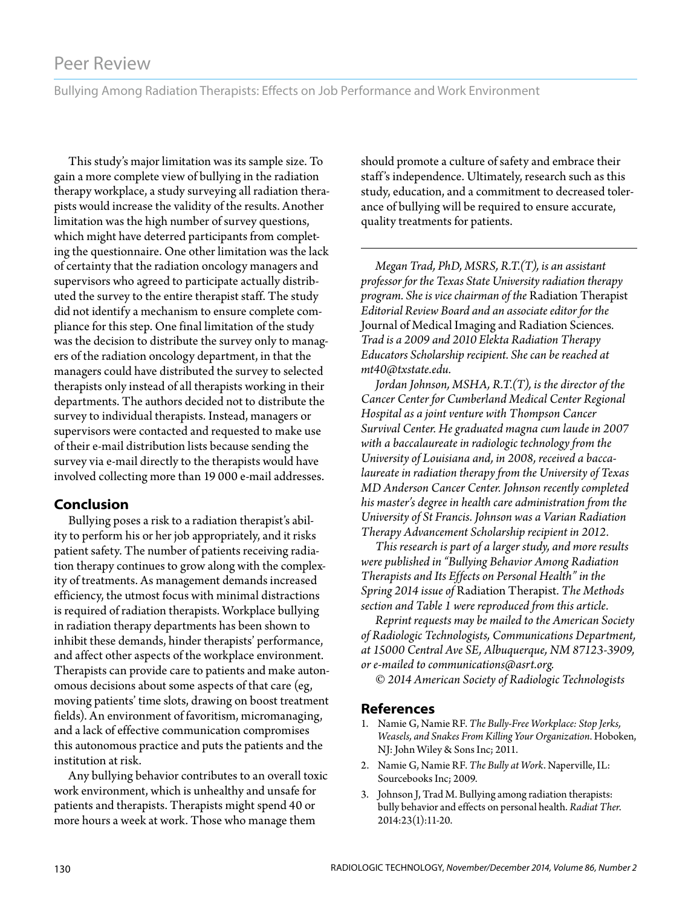Bullying Among Radiation Therapists: Effects on Job Performance and Work Environment

This study's major limitation was its sample size. To gain a more complete view of bullying in the radiation therapy workplace, a study surveying all radiation therapists would increase the validity of the results. Another limitation was the high number of survey questions, which might have deterred participants from completing the questionnaire. One other limitation was the lack of certainty that the radiation oncology managers and supervisors who agreed to participate actually distributed the survey to the entire therapist staff. The study did not identify a mechanism to ensure complete compliance for this step. One final limitation of the study was the decision to distribute the survey only to managers of the radiation oncology department, in that the managers could have distributed the survey to selected therapists only instead of all therapists working in their departments. The authors decided not to distribute the survey to individual therapists. Instead, managers or supervisors were contacted and requested to make use of their e-mail distribution lists because sending the survey via e-mail directly to the therapists would have involved collecting more than 19 000 e-mail addresses.

#### **Conclusion**

Bullying poses a risk to a radiation therapist's ability to perform his or her job appropriately, and it risks patient safety. The number of patients receiving radiation therapy continues to grow along with the complexity of treatments. As management demands increased efficiency, the utmost focus with minimal distractions is required of radiation therapists. Workplace bullying in radiation therapy departments has been shown to inhibit these demands, hinder therapists' performance, and affect other aspects of the workplace environment. Therapists can provide care to patients and make autonomous decisions about some aspects of that care (eg, moving patients' time slots, drawing on boost treatment fields). An environment of favoritism, micromanaging, and a lack of effective communication compromises this autonomous practice and puts the patients and the institution at risk.

Any bullying behavior contributes to an overall toxic work environment, which is unhealthy and unsafe for patients and therapists. Therapists might spend 40 or more hours a week at work. Those who manage them

should promote a culture of safety and embrace their staff's independence. Ultimately, research such as this study, education, and a commitment to decreased tolerance of bullying will be required to ensure accurate, quality treatments for patients.

*Megan Trad, PhD, MSRS, R.T.(T), is an assistant professor for the Texas State University radiation therapy program. She is vice chairman of the* Radiation Therapist *Editorial Review Board and an associate editor for the*  Journal of Medical Imaging and Radiation Sciences*. Trad is a 2009 and 2010 Elekta Radiation Therapy Educators Scholarship recipient. She can be reached at mt40@txstate.edu.*

*Jordan Johnson, MSHA, R.T.(T), is the director of the Cancer Center for Cumberland Medical Center Regional Hospital as a joint venture with Thompson Cancer Survival Center. He graduated magna cum laude in 2007 with a baccalaureate in radiologic technology from the University of Louisiana and, in 2008, received a baccalaureate in radiation therapy from the University of Texas MD Anderson Cancer Center. Johnson recently completed his master's degree in health care administration from the University of St Francis. Johnson was a Varian Radiation Therapy Advancement Scholarship recipient in 2012.*

*This research is part of a larger study, and more results were published in "Bullying Behavior Among Radiation Therapists and Its Effects on Personal Health" in the Spring 2014 issue of* Radiation Therapist*. The Methods section and Table 1 were reproduced from this article.* 

*Reprint requests may be mailed to the American Society of Radiologic Technologists, Communications Department, at 15000 Central Ave SE, Albuquerque, NM 87123-3909, or e-mailed to communications@asrt.org.*

*© 2014 American Society of Radiologic Technologists*

#### **References**

- 1. Namie G, Namie RF. *The Bully-Free Workplace: Stop Jerks, Weasels, and Snakes From Killing Your Organization*. Hoboken, NJ: John Wiley & Sons Inc; 2011.
- 2. Namie G, Namie RF. *The Bully at Work*. Naperville, IL: Sourcebooks Inc; 2009.
- 3. Johnson J, Trad M. Bullying among radiation therapists: bully behavior and effects on personal health. *Radiat Ther*. 2014:23(1):11-20.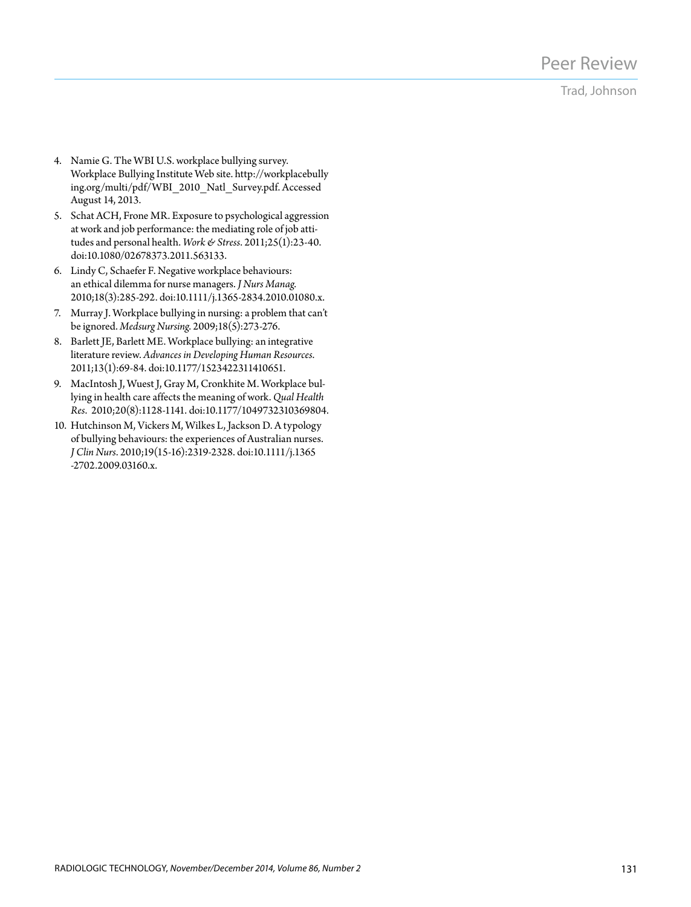### Trad, Johnson

- 4. Namie G. The WBI U.S. workplace bullying survey. Workplace Bullying Institute Web site. http://workplacebully ing.org/multi/pdf/WBI\_2010\_Natl\_Survey.pdf. Accessed August 14, 2013.
- 5. Schat ACH, Frone MR. Exposure to psychological aggression at work and job performance: the mediating role of job attitudes and personal health. *Work & Stress*. 2011;25(1):23-40. doi:10.1080/02678373.2011.563133.
- 6. Lindy C, Schaefer F. Negative workplace behaviours: an ethical dilemma for nurse managers. *J Nurs Manag*. 2010;18(3):285-292. doi:10.1111/j.1365-2834.2010.01080.x.
- 7. Murray J. Workplace bullying in nursing: a problem that can't be ignored. *Medsurg Nursing*. 2009;18(5):273-276.
- 8. Barlett JE, Barlett ME. Workplace bullying: an integrative literature review. *Advances in Developing Human Resources*. 2011;13(1):69-84. doi:10.1177/1523422311410651.
- 9. MacIntosh J, Wuest J, Gray M, Cronkhite M. Workplace bullying in health care affects the meaning of work. *Qual Health Res*. 2010;20(8):1128-1141. doi:10.1177/1049732310369804.
- 10. Hutchinson M, Vickers M, Wilkes L, Jackson D. A typology of bullying behaviours: the experiences of Australian nurses. *J Clin Nurs*. 2010;19(15-16):2319-2328. doi:10.1111/j.1365 -2702.2009.03160.x.